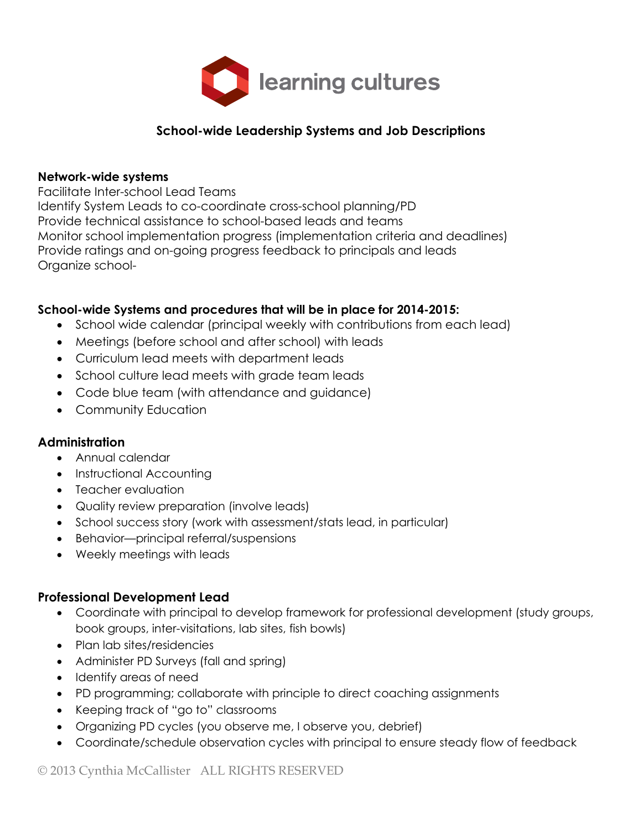

## **School-wide Leadership Systems and Job Descriptions**

#### **Network-wide systems**

Facilitate Inter-school Lead Teams

Identify System Leads to co-coordinate cross-school planning/PD Provide technical assistance to school-based leads and teams Monitor school implementation progress (implementation criteria and deadlines) Provide ratings and on-going progress feedback to principals and leads Organize school-

#### **School-wide Systems and procedures that will be in place for 2014-2015:**

- School wide calendar (principal weekly with contributions from each lead)
- Meetings (before school and after school) with leads
- Curriculum lead meets with department leads
- School culture lead meets with grade team leads
- Code blue team (with attendance and guidance)
- Community Education

#### **Administration**

- Annual calendar
- Instructional Accounting
- Teacher evaluation
- Quality review preparation (involve leads)
- School success story (work with assessment/stats lead, in particular)
- Behavior—principal referral/suspensions
- Weekly meetings with leads

### **Professional Development Lead**

- Coordinate with principal to develop framework for professional development (study groups, book groups, inter-visitations, lab sites, fish bowls)
- Plan lab sites/residencies
- Administer PD Surveys (fall and spring)
- Identify areas of need
- PD programming; collaborate with principle to direct coaching assignments
- Keeping track of "go to" classrooms
- Organizing PD cycles (you observe me, I observe you, debrief)
- Coordinate/schedule observation cycles with principal to ensure steady flow of feedback

© 2013 Cynthia McCallister ALL RIGHTS RESERVED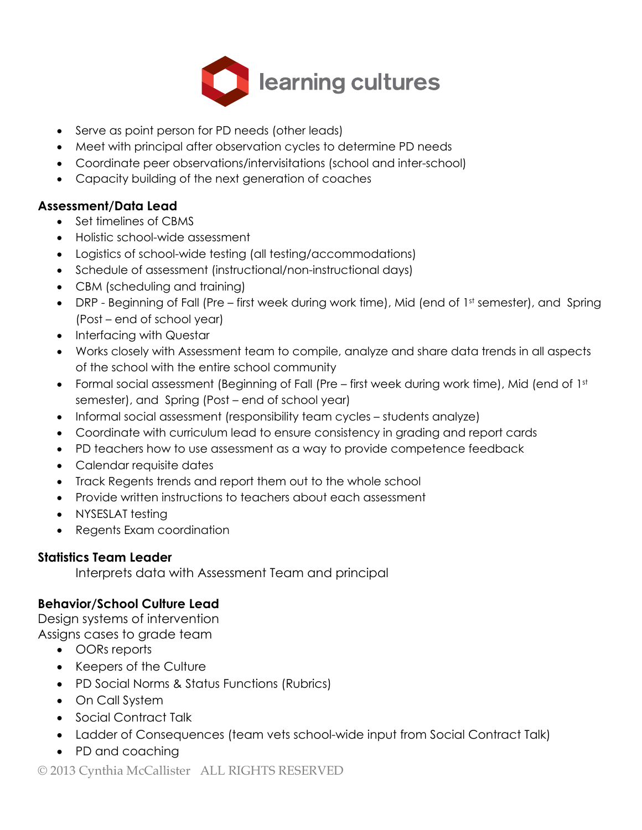

- Serve as point person for PD needs (other leads)
- Meet with principal after observation cycles to determine PD needs
- Coordinate peer observations/intervisitations (school and inter-school)
- Capacity building of the next generation of coaches

# **Assessment/Data Lead**

- Set timelines of CBMS
- Holistic school-wide assessment
- Logistics of school-wide testing (all testing/accommodations)
- Schedule of assessment (instructional/non-instructional days)
- CBM (scheduling and training)
- DRP Beginning of Fall (Pre first week during work time), Mid (end of 1st semester), and Spring (Post – end of school year)
- Interfacing with Questar
- Works closely with Assessment team to compile, analyze and share data trends in all aspects of the school with the entire school community
- Formal social assessment (Beginning of Fall (Pre first week during work time), Mid (end of 1st semester), and Spring (Post – end of school year)
- Informal social assessment (responsibility team cycles students analyze)
- Coordinate with curriculum lead to ensure consistency in grading and report cards
- PD teachers how to use assessment as a way to provide competence feedback
- Calendar requisite dates
- Track Regents trends and report them out to the whole school
- Provide written instructions to teachers about each assessment
- NYSESLAT testing
- Regents Exam coordination

## **Statistics Team Leader**

Interprets data with Assessment Team and principal

## **Behavior/School Culture Lead**

Design systems of intervention

Assigns cases to grade team

- OORs reports
- Keepers of the Culture
- PD Social Norms & Status Functions (Rubrics)
- On Call System
- Social Contract Talk
- Ladder of Consequences (team vets school-wide input from Social Contract Talk)
- PD and coaching

© 2013 Cynthia McCallister ALL RIGHTS RESERVED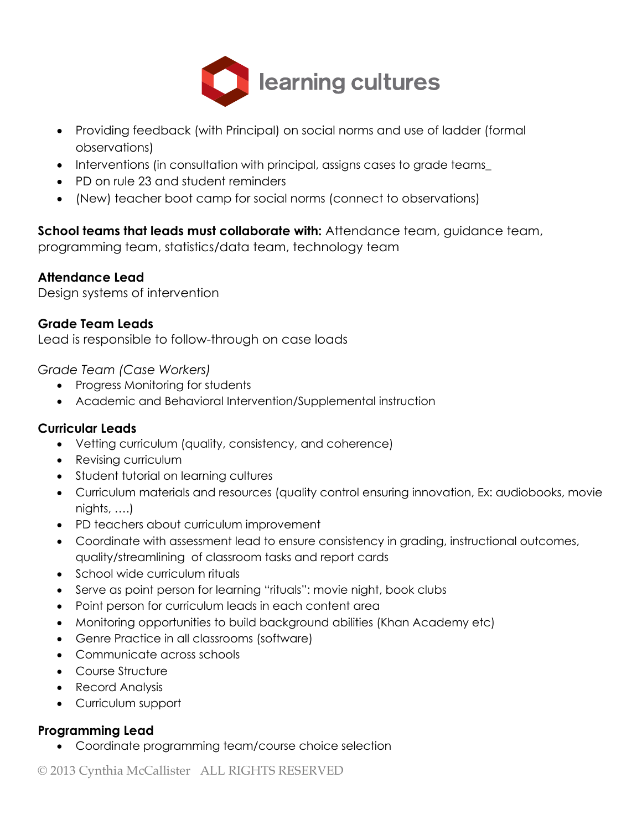

- Providing feedback (with Principal) on social norms and use of ladder (formal observations)
- Interventions (in consultation with principal, assigns cases to grade teams\_
- PD on rule 23 and student reminders
- (New) teacher boot camp for social norms (connect to observations)

**School teams that leads must collaborate with:** Attendance team, guidance team, programming team, statistics/data team, technology team

### **Attendance Lead**

Design systems of intervention

### **Grade Team Leads**

Lead is responsible to follow-through on case loads

*Grade Team (Case Workers)*

- Progress Monitoring for students
- Academic and Behavioral Intervention/Supplemental instruction

### **Curricular Leads**

- Vetting curriculum (quality, consistency, and coherence)
- Revising curriculum
- Student tutorial on learning cultures
- Curriculum materials and resources (quality control ensuring innovation, Ex: audiobooks, movie nights, ….)
- PD teachers about curriculum improvement
- Coordinate with assessment lead to ensure consistency in grading, instructional outcomes, quality/streamlining of classroom tasks and report cards
- School wide curriculum rituals
- Serve as point person for learning "rituals": movie night, book clubs
- Point person for curriculum leads in each content area
- Monitoring opportunities to build background abilities (Khan Academy etc)
- Genre Practice in all classrooms (software)
- Communicate across schools
- Course Structure
- Record Analysis
- Curriculum support

## **Programming Lead**

• Coordinate programming team/course choice selection

© 2013 Cynthia McCallister ALL RIGHTS RESERVED